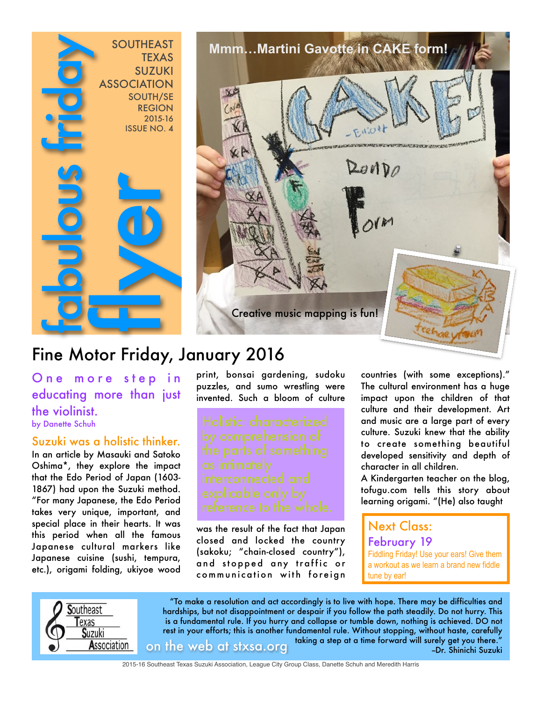



# Fine Motor Friday, January 2016

One more step in educating more than just the violinist. by Danette Schuh

Suzuki was a holistic thinker.

In an article by Masauki and Satoko Oshima\*, they explore the impact that the Edo Period of Japan (1603- 1867) had upon the Suzuki method. "For many Japanese, the Edo Period takes very unique, important, and special place in their hearts. It was this period when all the famous Japanese cultural markers like Japanese cuisine (sushi, tempura, etc.), origami folding, ukiyoe wood

print, bonsai gardening, sudoku puzzles, and sumo wrestling were invented. Such a bloom of culture

was the result of the fact that Japan closed and locked the country (sakoku; "chain-closed country"), and stopped any traffic or communication with foreign countries (with some exceptions)." The cultural environment has a huge impact upon the children of that culture and their development. Art and music are a large part of every culture. Suzuki knew that the ability to create something beautiful developed sensitivity and depth of character in all children.

A Kindergarten teacher on the blog, tofugu.com tells this story about learning origami. "(He) also taught

#### Next Class: February 19 Fiddling Friday! Use your ears! Give them a workout as we learn a brand new fiddle tune by ear!



"To make a resolution and act accordingly is to live with hope. There may be difficulties and hardships, but not disappointment or despair if you follow the path steadily. Do not hurry. This is a fundamental rule. If you hurry and collapse or tumble down, nothing is achieved. DO not rest in your efforts; this is another fundamental rule. Without stopping, without haste, carefully taking a step at a time forward will surely get you there." on the web at stxsa.org --Dr. Shinichi Suzuki